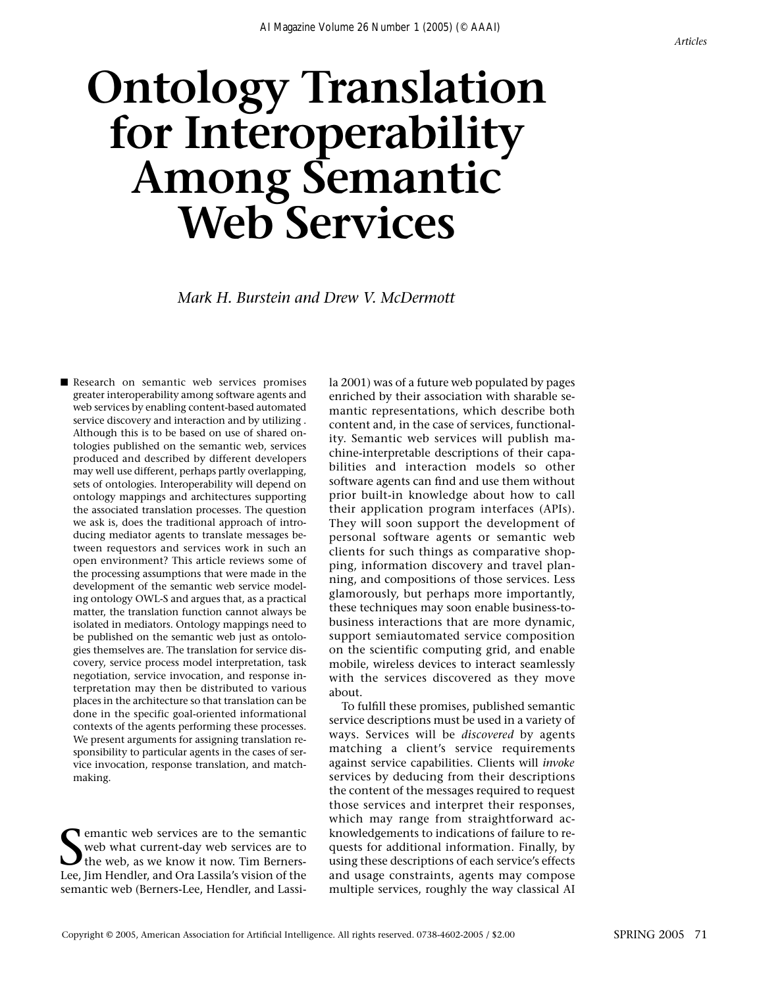# **Ontology Translation for Interoperability Among Semantic Web Services**

*Mark H. Burstein and Drew V. McDermott*

■ Research on semantic web services promises greater interoperability among software agents and web services by enabling content-based automated service discovery and interaction and by utilizing . Although this is to be based on use of shared ontologies published on the semantic web, services produced and described by different developers may well use different, perhaps partly overlapping, sets of ontologies. Interoperability will depend on ontology mappings and architectures supporting the associated translation processes. The question we ask is, does the traditional approach of introducing mediator agents to translate messages between requestors and services work in such an open environment? This article reviews some of the processing assumptions that were made in the development of the semantic web service modeling ontology OWL-S and argues that, as a practical matter, the translation function cannot always be isolated in mediators. Ontology mappings need to be published on the semantic web just as ontologies themselves are. The translation for service discovery, service process model interpretation, task negotiation, service invocation, and response interpretation may then be distributed to various places in the architecture so that translation can be done in the specific goal-oriented informational contexts of the agents performing these processes. We present arguments for assigning translation responsibility to particular agents in the cases of service invocation, response translation, and matchmaking.

Solution web services are to the semantic web what current-day web services are to the web, as we know it now. Tim Berners-<br>Lee, Jim Hendler, and Ora Lassila's vision of the emantic web services are to the semantic web what current-day web services are to The web, as we know it now. Tim Bernerssemantic web (Berners-Lee, Hendler, and Lassila 2001) was of a future web populated by pages enriched by their association with sharable semantic representations, which describe both content and, in the case of services, functionality. Semantic web services will publish machine-interpretable descriptions of their capabilities and interaction models so other software agents can find and use them without prior built-in knowledge about how to call their application program interfaces (APIs). They will soon support the development of personal software agents or semantic web clients for such things as comparative shopping, information discovery and travel planning, and compositions of those services. Less glamorously, but perhaps more importantly, these techniques may soon enable business-tobusiness interactions that are more dynamic, support semiautomated service composition on the scientific computing grid, and enable mobile, wireless devices to interact seamlessly with the services discovered as they move about.

To fulfill these promises, published semantic service descriptions must be used in a variety of ways. Services will be *discovered* by agents matching a client's service requirements against service capabilities. Clients will *invoke* services by deducing from their descriptions the content of the messages required to request those services and interpret their responses, which may range from straightforward acknowledgements to indications of failure to requests for additional information. Finally, by using these descriptions of each service's effects and usage constraints, agents may compose multiple services, roughly the way classical AI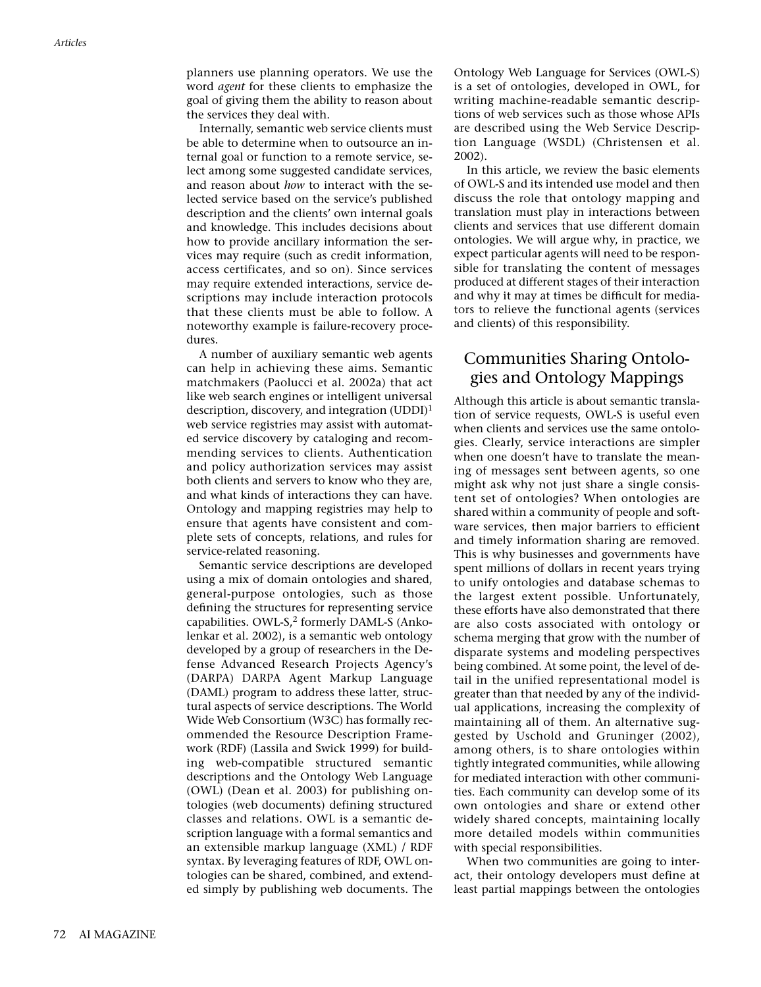planners use planning operators. We use the word *agent* for these clients to emphasize the goal of giving them the ability to reason about the services they deal with.

Internally, semantic web service clients must be able to determine when to outsource an internal goal or function to a remote service, select among some suggested candidate services, and reason about *how* to interact with the selected service based on the service's published description and the clients' own internal goals and knowledge. This includes decisions about how to provide ancillary information the services may require (such as credit information, access certificates, and so on). Since services may require extended interactions, service descriptions may include interaction protocols that these clients must be able to follow. A noteworthy example is failure-recovery procedures.

A number of auxiliary semantic web agents can help in achieving these aims. Semantic matchmakers (Paolucci et al. 2002a) that act like web search engines or intelligent universal description, discovery, and integration  $(UDDI)^1$ web service registries may assist with automated service discovery by cataloging and recommending services to clients. Authentication and policy authorization services may assist both clients and servers to know who they are, and what kinds of interactions they can have. Ontology and mapping registries may help to ensure that agents have consistent and complete sets of concepts, relations, and rules for service-related reasoning.

Semantic service descriptions are developed using a mix of domain ontologies and shared, general-purpose ontologies, such as those defining the structures for representing service capabilities. OWL-S,<sup>2</sup> formerly DAML-S (Ankolenkar et al. 2002), is a semantic web ontology developed by a group of researchers in the Defense Advanced Research Projects Agency's (DARPA) DARPA Agent Markup Language (DAML) program to address these latter, structural aspects of service descriptions. The World Wide Web Consortium (W3C) has formally recommended the Resource Description Framework (RDF) (Lassila and Swick 1999) for building web-compatible structured semantic descriptions and the Ontology Web Language (OWL) (Dean et al. 2003) for publishing ontologies (web documents) defining structured classes and relations. OWL is a semantic description language with a formal semantics and an extensible markup language (XML) / RDF syntax. By leveraging features of RDF, OWL ontologies can be shared, combined, and extended simply by publishing web documents. The

Ontology Web Language for Services (OWL-S) is a set of ontologies, developed in OWL, for writing machine-readable semantic descriptions of web services such as those whose APIs are described using the Web Service Description Language (WSDL) (Christensen et al. 2002).

In this article, we review the basic elements of OWL-S and its intended use model and then discuss the role that ontology mapping and translation must play in interactions between clients and services that use different domain ontologies. We will argue why, in practice, we expect particular agents will need to be responsible for translating the content of messages produced at different stages of their interaction and why it may at times be difficult for mediators to relieve the functional agents (services and clients) of this responsibility.

## Communities Sharing Ontologies and Ontology Mappings

Although this article is about semantic translation of service requests, OWL-S is useful even when clients and services use the same ontologies. Clearly, service interactions are simpler when one doesn't have to translate the meaning of messages sent between agents, so one might ask why not just share a single consistent set of ontologies? When ontologies are shared within a community of people and software services, then major barriers to efficient and timely information sharing are removed. This is why businesses and governments have spent millions of dollars in recent years trying to unify ontologies and database schemas to the largest extent possible. Unfortunately, these efforts have also demonstrated that there are also costs associated with ontology or schema merging that grow with the number of disparate systems and modeling perspectives being combined. At some point, the level of detail in the unified representational model is greater than that needed by any of the individual applications, increasing the complexity of maintaining all of them. An alternative suggested by Uschold and Gruninger (2002), among others, is to share ontologies within tightly integrated communities, while allowing for mediated interaction with other communities. Each community can develop some of its own ontologies and share or extend other widely shared concepts, maintaining locally more detailed models within communities with special responsibilities.

When two communities are going to interact, their ontology developers must define at least partial mappings between the ontologies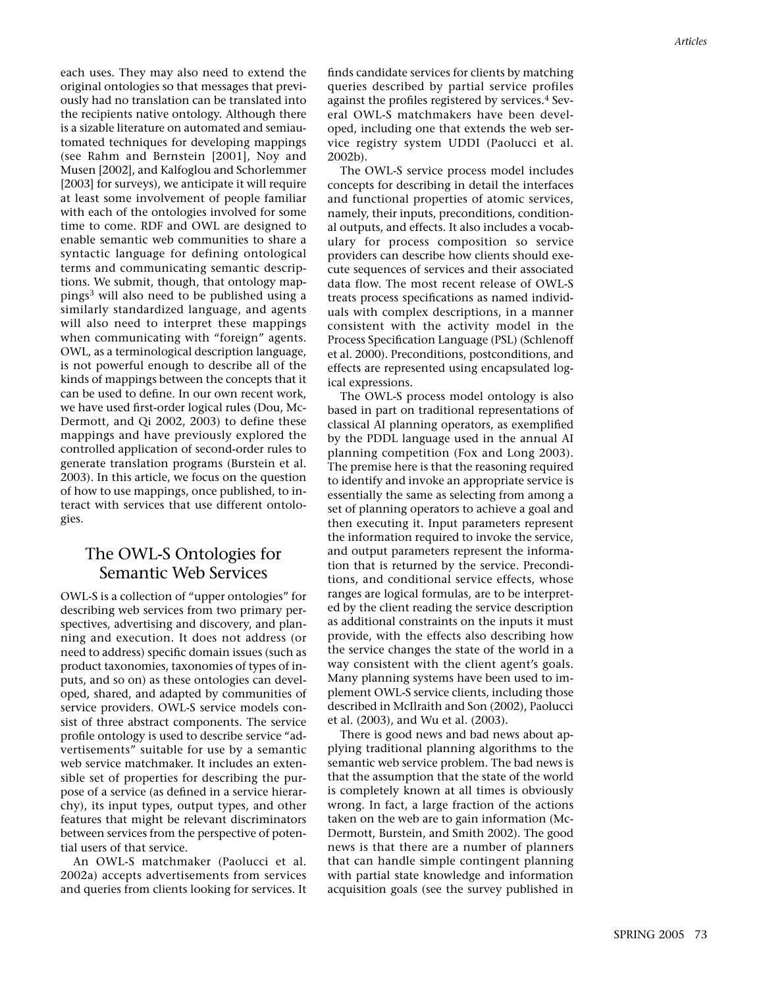each uses. They may also need to extend the original ontologies so that messages that previously had no translation can be translated into the recipients native ontology. Although there is a sizable literature on automated and semiautomated techniques for developing mappings (see Rahm and Bernstein [2001], Noy and Musen [2002], and Kalfoglou and Schorlemmer [2003] for surveys), we anticipate it will require at least some involvement of people familiar with each of the ontologies involved for some time to come. RDF and OWL are designed to enable semantic web communities to share a syntactic language for defining ontological terms and communicating semantic descriptions. We submit, though, that ontology mappings<sup>3</sup> will also need to be published using a similarly standardized language, and agents will also need to interpret these mappings when communicating with "foreign" agents. OWL, as a terminological description language, is not powerful enough to describe all of the kinds of mappings between the concepts that it can be used to define. In our own recent work, we have used first-order logical rules (Dou, Mc-Dermott, and Qi 2002, 2003) to define these mappings and have previously explored the controlled application of second-order rules to generate translation programs (Burstein et al. 2003). In this article, we focus on the question of how to use mappings, once published, to interact with services that use different ontologies.

## The OWL-S Ontologies for Semantic Web Services

OWL-S is a collection of "upper ontologies" for describing web services from two primary perspectives, advertising and discovery, and planning and execution. It does not address (or need to address) specific domain issues (such as product taxonomies, taxonomies of types of inputs, and so on) as these ontologies can developed, shared, and adapted by communities of service providers. OWL-S service models consist of three abstract components. The service profile ontology is used to describe service "advertisements" suitable for use by a semantic web service matchmaker. It includes an extensible set of properties for describing the purpose of a service (as defined in a service hierarchy), its input types, output types, and other features that might be relevant discriminators between services from the perspective of potential users of that service.

An OWL-S matchmaker (Paolucci et al. 2002a) accepts advertisements from services and queries from clients looking for services. It finds candidate services for clients by matching queries described by partial service profiles against the profiles registered by services.<sup>4</sup> Several OWL-S matchmakers have been developed, including one that extends the web service registry system UDDI (Paolucci et al. 2002b).

The OWL-S service process model includes concepts for describing in detail the interfaces and functional properties of atomic services, namely, their inputs, preconditions, conditional outputs, and effects. It also includes a vocabulary for process composition so service providers can describe how clients should execute sequences of services and their associated data flow. The most recent release of OWL-S treats process specifications as named individuals with complex descriptions, in a manner consistent with the activity model in the Process Specification Language (PSL) (Schlenoff et al. 2000). Preconditions, postconditions, and effects are represented using encapsulated logical expressions.

The OWL-S process model ontology is also based in part on traditional representations of classical AI planning operators, as exemplified by the PDDL language used in the annual AI planning competition (Fox and Long 2003). The premise here is that the reasoning required to identify and invoke an appropriate service is essentially the same as selecting from among a set of planning operators to achieve a goal and then executing it. Input parameters represent the information required to invoke the service, and output parameters represent the information that is returned by the service. Preconditions, and conditional service effects, whose ranges are logical formulas, are to be interpreted by the client reading the service description as additional constraints on the inputs it must provide, with the effects also describing how the service changes the state of the world in a way consistent with the client agent's goals. Many planning systems have been used to implement OWL-S service clients, including those described in McIlraith and Son (2002), Paolucci et al. (2003), and Wu et al. (2003).

There is good news and bad news about applying traditional planning algorithms to the semantic web service problem. The bad news is that the assumption that the state of the world is completely known at all times is obviously wrong. In fact, a large fraction of the actions taken on the web are to gain information (Mc-Dermott, Burstein, and Smith 2002). The good news is that there are a number of planners that can handle simple contingent planning with partial state knowledge and information acquisition goals (see the survey published in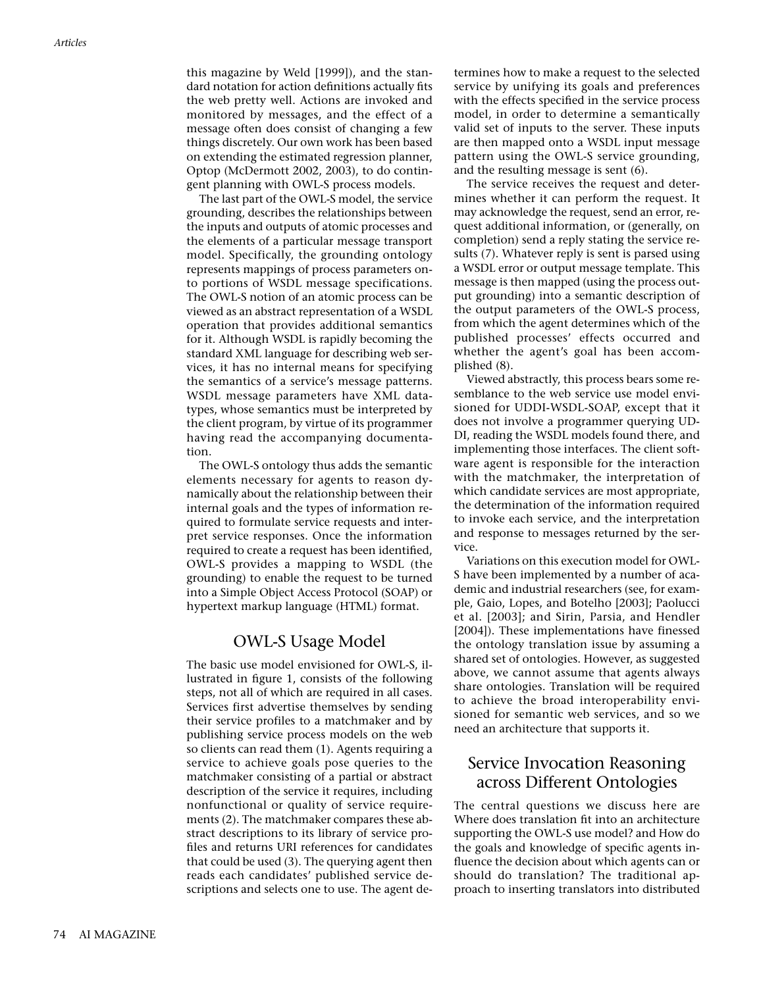this magazine by Weld [1999]), and the standard notation for action definitions actually fits the web pretty well. Actions are invoked and monitored by messages, and the effect of a message often does consist of changing a few things discretely. Our own work has been based on extending the estimated regression planner, Optop (McDermott 2002, 2003), to do contingent planning with OWL-S process models.

The last part of the OWL-S model, the service grounding, describes the relationships between the inputs and outputs of atomic processes and the elements of a particular message transport model. Specifically, the grounding ontology represents mappings of process parameters onto portions of WSDL message specifications. The OWL-S notion of an atomic process can be viewed as an abstract representation of a WSDL operation that provides additional semantics for it. Although WSDL is rapidly becoming the standard XML language for describing web services, it has no internal means for specifying the semantics of a service's message patterns. WSDL message parameters have XML datatypes, whose semantics must be interpreted by the client program, by virtue of its programmer having read the accompanying documentation.

The OWL-S ontology thus adds the semantic elements necessary for agents to reason dynamically about the relationship between their internal goals and the types of information required to formulate service requests and interpret service responses. Once the information required to create a request has been identified, OWL-S provides a mapping to WSDL (the grounding) to enable the request to be turned into a Simple Object Access Protocol (SOAP) or hypertext markup language (HTML) format.

#### OWL-S Usage Model

The basic use model envisioned for OWL-S, illustrated in figure 1, consists of the following steps, not all of which are required in all cases. Services first advertise themselves by sending their service profiles to a matchmaker and by publishing service process models on the web so clients can read them (1). Agents requiring a service to achieve goals pose queries to the matchmaker consisting of a partial or abstract description of the service it requires, including nonfunctional or quality of service requirements (2). The matchmaker compares these abstract descriptions to its library of service profiles and returns URI references for candidates that could be used (3). The querying agent then reads each candidates' published service descriptions and selects one to use. The agent determines how to make a request to the selected service by unifying its goals and preferences with the effects specified in the service process model, in order to determine a semantically valid set of inputs to the server. These inputs are then mapped onto a WSDL input message pattern using the OWL-S service grounding, and the resulting message is sent (6).

The service receives the request and determines whether it can perform the request. It may acknowledge the request, send an error, request additional information, or (generally, on completion) send a reply stating the service results (7). Whatever reply is sent is parsed using a WSDL error or output message template. This message is then mapped (using the process output grounding) into a semantic description of the output parameters of the OWL-S process, from which the agent determines which of the published processes' effects occurred and whether the agent's goal has been accomplished (8).

Viewed abstractly, this process bears some resemblance to the web service use model envisioned for UDDI-WSDL-SOAP, except that it does not involve a programmer querying UD-DI, reading the WSDL models found there, and implementing those interfaces. The client software agent is responsible for the interaction with the matchmaker, the interpretation of which candidate services are most appropriate, the determination of the information required to invoke each service, and the interpretation and response to messages returned by the service.

Variations on this execution model for OWL-S have been implemented by a number of academic and industrial researchers (see, for example, Gaio, Lopes, and Botelho [2003]; Paolucci et al. [2003]; and Sirin, Parsia, and Hendler [2004]). These implementations have finessed the ontology translation issue by assuming a shared set of ontologies. However, as suggested above, we cannot assume that agents always share ontologies. Translation will be required to achieve the broad interoperability envisioned for semantic web services, and so we need an architecture that supports it.

#### Service Invocation Reasoning across Different Ontologies

The central questions we discuss here are Where does translation fit into an architecture supporting the OWL-S use model? and How do the goals and knowledge of specific agents influence the decision about which agents can or should do translation? The traditional approach to inserting translators into distributed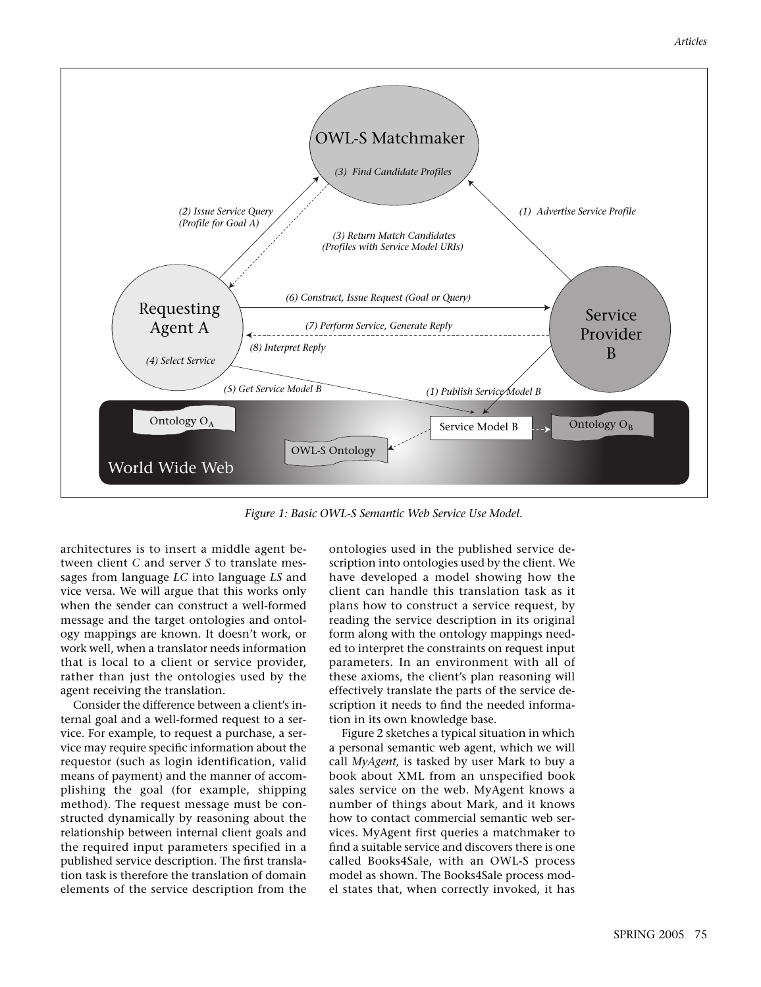

*Figure 1: Basic OWL-S Semantic Web Service Use Model.*

architectures is to insert a middle agent between client *C* and server *S* to translate messages from language *LC* into language *LS* and vice versa. We will argue that this works only when the sender can construct a well-formed message and the target ontologies and ontology mappings are known. It doesn't work, or work well, when a translator needs information that is local to a client or service provider, rather than just the ontologies used by the agent receiving the translation.

Consider the difference between a client's internal goal and a well-formed request to a service. For example, to request a purchase, a service may require specific information about the requestor (such as login identification, valid means of payment) and the manner of accomplishing the goal (for example, shipping method). The request message must be constructed dynamically by reasoning about the relationship between internal client goals and the required input parameters specified in a published service description. The first translation task is therefore the translation of domain elements of the service description from the

ontologies used in the published service description into ontologies used by the client. We have developed a model showing how the client can handle this translation task as it plans how to construct a service request, by reading the service description in its original form along with the ontology mappings needed to interpret the constraints on request input parameters. In an environment with all of these axioms, the client's plan reasoning will effectively translate the parts of the service description it needs to find the needed information in its own knowledge base.

Figure 2 sketches a typical situation in which a personal semantic web agent, which we will call *MyAgent,* is tasked by user Mark to buy a book about XML from an unspecified book sales service on the web. MyAgent knows a number of things about Mark, and it knows how to contact commercial semantic web services. MyAgent first queries a matchmaker to find a suitable service and discovers there is one called Books4Sale, with an OWL-S process model as shown. The Books4Sale process model states that, when correctly invoked, it has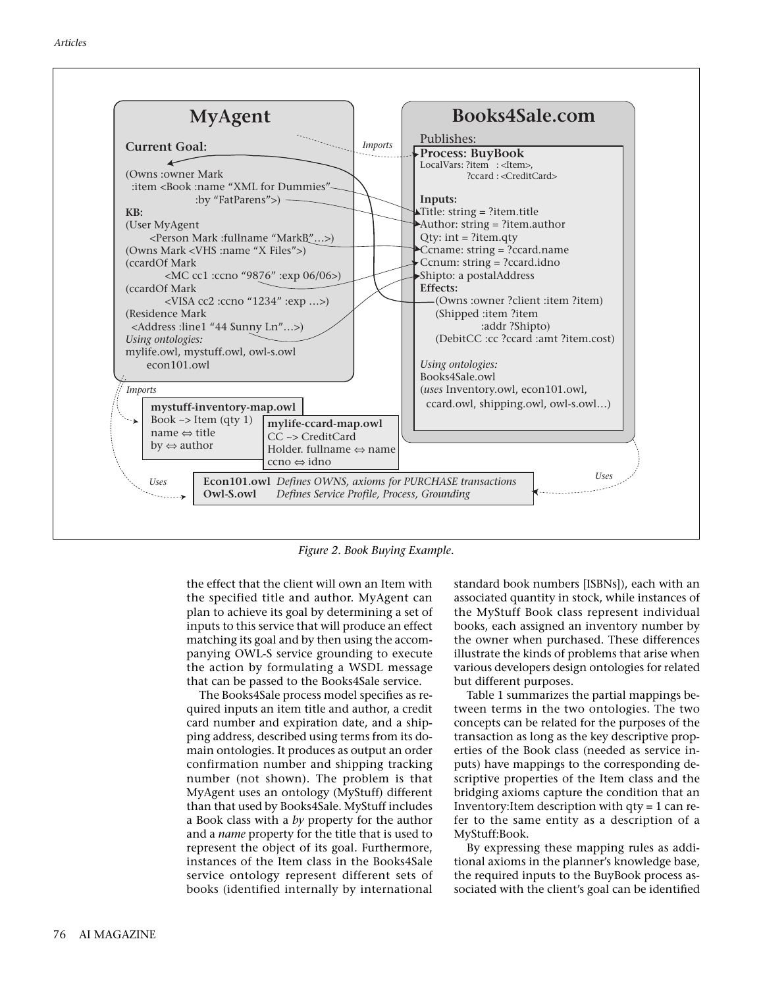

*Figure 2. Book Buying Example.*

the effect that the client will own an Item with the specified title and author. MyAgent can plan to achieve its goal by determining a set of inputs to this service that will produce an effect matching its goal and by then using the accompanying OWL-S service grounding to execute the action by formulating a WSDL message that can be passed to the Books4Sale service.

The Books4Sale process model specifies as required inputs an item title and author, a credit card number and expiration date, and a shipping address, described using terms from its domain ontologies. It produces as output an order confirmation number and shipping tracking number (not shown). The problem is that MyAgent uses an ontology (MyStuff) different than that used by Books4Sale. MyStuff includes a Book class with a *by* property for the author and a *name* property for the title that is used to represent the object of its goal. Furthermore, instances of the Item class in the Books4Sale service ontology represent different sets of books (identified internally by international

standard book numbers [ISBNs]), each with an associated quantity in stock, while instances of the MyStuff Book class represent individual books, each assigned an inventory number by the owner when purchased. These differences illustrate the kinds of problems that arise when various developers design ontologies for related but different purposes.

Table 1 summarizes the partial mappings between terms in the two ontologies. The two concepts can be related for the purposes of the transaction as long as the key descriptive properties of the Book class (needed as service inputs) have mappings to the corresponding descriptive properties of the Item class and the bridging axioms capture the condition that an Inventory:Item description with qty = 1 can refer to the same entity as a description of a MyStuff:Book.

By expressing these mapping rules as additional axioms in the planner's knowledge base, the required inputs to the BuyBook process associated with the client's goal can be identified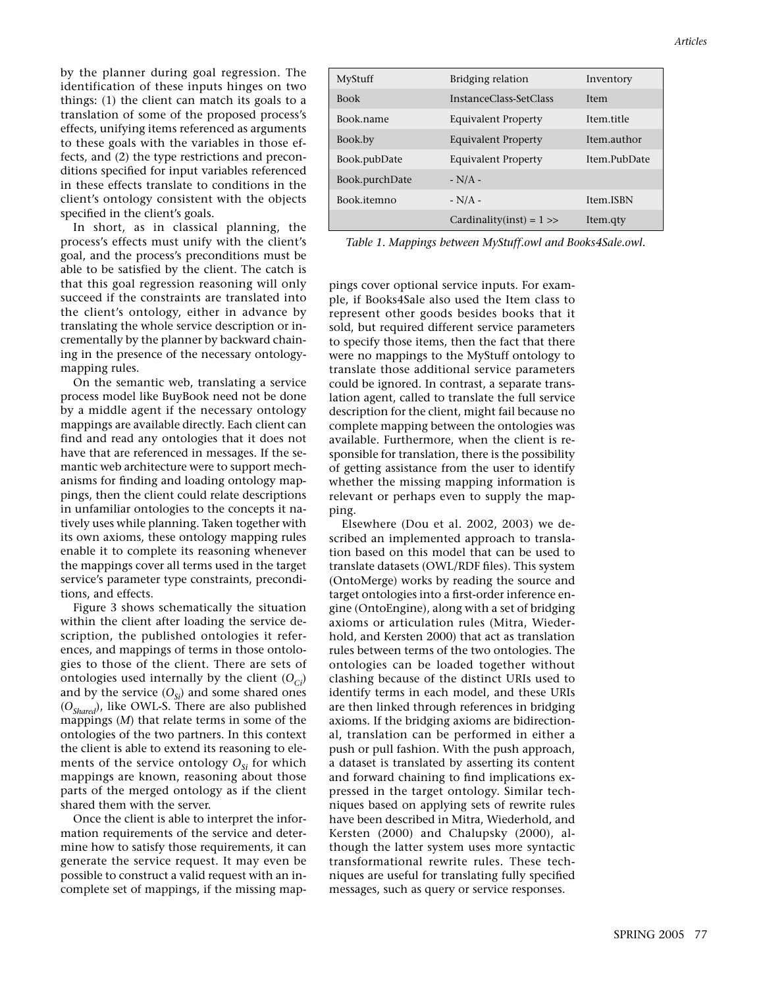by the planner during goal regression. The identification of these inputs hinges on two things: (1) the client can match its goals to a translation of some of the proposed process's effects, unifying items referenced as arguments to these goals with the variables in those effects, and (2) the type restrictions and preconditions specified for input variables referenced in these effects translate to conditions in the client's ontology consistent with the objects specified in the client's goals.

In short, as in classical planning, the process's effects must unify with the client's goal, and the process's preconditions must be able to be satisfied by the client. The catch is that this goal regression reasoning will only succeed if the constraints are translated into the client's ontology, either in advance by translating the whole service description or incrementally by the planner by backward chaining in the presence of the necessary ontologymapping rules.

On the semantic web, translating a service process model like BuyBook need not be done by a middle agent if the necessary ontology mappings are available directly. Each client can find and read any ontologies that it does not have that are referenced in messages. If the semantic web architecture were to support mechanisms for finding and loading ontology mappings, then the client could relate descriptions in unfamiliar ontologies to the concepts it natively uses while planning. Taken together with its own axioms, these ontology mapping rules enable it to complete its reasoning whenever the mappings cover all terms used in the target service's parameter type constraints, preconditions, and effects.

Figure 3 shows schematically the situation within the client after loading the service description, the published ontologies it references, and mappings of terms in those ontologies to those of the client. There are sets of ontologies used internally by the client  $(O_{C}$ <sup>j</sup> and by the service  $(O_{si})$  and some shared ones (*OShared*), like OWL-S. There are also published mappings (*M*) that relate terms in some of the ontologies of the two partners. In this context the client is able to extend its reasoning to elements of the service ontology  $O_{Si}$  for which mappings are known, reasoning about those parts of the merged ontology as if the client shared them with the server.

Once the client is able to interpret the information requirements of the service and determine how to satisfy those requirements, it can generate the service request. It may even be possible to construct a valid request with an incomplete set of mappings, if the missing map-

| MyStuff        | Bridging relation           | Inventory    |
|----------------|-----------------------------|--------------|
| <b>Book</b>    | InstanceClass-SetClass      | <b>Item</b>  |
| Book.name      | <b>Equivalent Property</b>  | Item.title   |
| Book.by        | <b>Equivalent Property</b>  | Item.author  |
| Book.pubDate   | <b>Equivalent Property</b>  | Item.PubDate |
| Book.purchDate | $-N/A$ -                    |              |
| Book.itemno    | $-N/A$ -                    | Item.ISBN    |
|                | Cardinality(inst) = $1 \gg$ | Item.qty     |

*Table 1. Mappings between MyStuff.owl and Books4Sale.owl.*

pings cover optional service inputs. For example, if Books4Sale also used the Item class to represent other goods besides books that it sold, but required different service parameters to specify those items, then the fact that there were no mappings to the MyStuff ontology to translate those additional service parameters could be ignored. In contrast, a separate translation agent, called to translate the full service description for the client, might fail because no complete mapping between the ontologies was available. Furthermore, when the client is responsible for translation, there is the possibility of getting assistance from the user to identify whether the missing mapping information is relevant or perhaps even to supply the mapping.

Elsewhere (Dou et al. 2002, 2003) we described an implemented approach to translation based on this model that can be used to translate datasets (OWL/RDF files). This system (OntoMerge) works by reading the source and target ontologies into a first-order inference engine (OntoEngine), along with a set of bridging axioms or articulation rules (Mitra, Wiederhold, and Kersten 2000) that act as translation rules between terms of the two ontologies. The ontologies can be loaded together without clashing because of the distinct URIs used to identify terms in each model, and these URIs are then linked through references in bridging axioms. If the bridging axioms are bidirectional, translation can be performed in either a push or pull fashion. With the push approach, a dataset is translated by asserting its content and forward chaining to find implications expressed in the target ontology. Similar techniques based on applying sets of rewrite rules have been described in Mitra, Wiederhold, and Kersten (2000) and Chalupsky (2000), although the latter system uses more syntactic transformational rewrite rules. These techniques are useful for translating fully specified messages, such as query or service responses.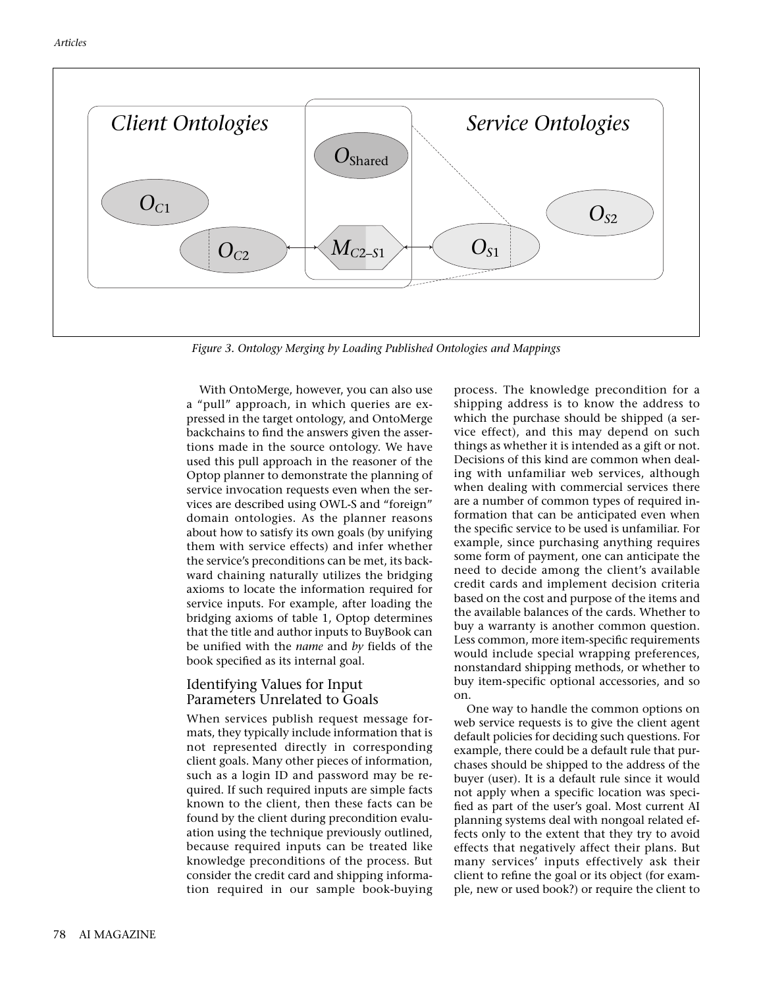

*Figure 3. Ontology Merging by Loading Published Ontologies and Mappings*

With OntoMerge, however, you can also use a "pull" approach, in which queries are expressed in the target ontology, and OntoMerge backchains to find the answers given the assertions made in the source ontology. We have used this pull approach in the reasoner of the Optop planner to demonstrate the planning of service invocation requests even when the services are described using OWL-S and "foreign" domain ontologies. As the planner reasons about how to satisfy its own goals (by unifying them with service effects) and infer whether the service's preconditions can be met, its backward chaining naturally utilizes the bridging axioms to locate the information required for service inputs. For example, after loading the bridging axioms of table 1, Optop determines that the title and author inputs to BuyBook can be unified with the *name* and *by* fields of the book specified as its internal goal.

#### Identifying Values for Input Parameters Unrelated to Goals

When services publish request message formats, they typically include information that is not represented directly in corresponding client goals. Many other pieces of information, such as a login ID and password may be required. If such required inputs are simple facts known to the client, then these facts can be found by the client during precondition evaluation using the technique previously outlined, because required inputs can be treated like knowledge preconditions of the process. But consider the credit card and shipping information required in our sample book-buying process. The knowledge precondition for a shipping address is to know the address to which the purchase should be shipped (a service effect), and this may depend on such things as whether it is intended as a gift or not. Decisions of this kind are common when dealing with unfamiliar web services, although when dealing with commercial services there are a number of common types of required information that can be anticipated even when the specific service to be used is unfamiliar. For example, since purchasing anything requires some form of payment, one can anticipate the need to decide among the client's available credit cards and implement decision criteria based on the cost and purpose of the items and the available balances of the cards. Whether to buy a warranty is another common question. Less common, more item-specific requirements would include special wrapping preferences, nonstandard shipping methods, or whether to buy item-specific optional accessories, and so on.

One way to handle the common options on web service requests is to give the client agent default policies for deciding such questions. For example, there could be a default rule that purchases should be shipped to the address of the buyer (user). It is a default rule since it would not apply when a specific location was specified as part of the user's goal. Most current AI planning systems deal with nongoal related effects only to the extent that they try to avoid effects that negatively affect their plans. But many services' inputs effectively ask their client to refine the goal or its object (for example, new or used book?) or require the client to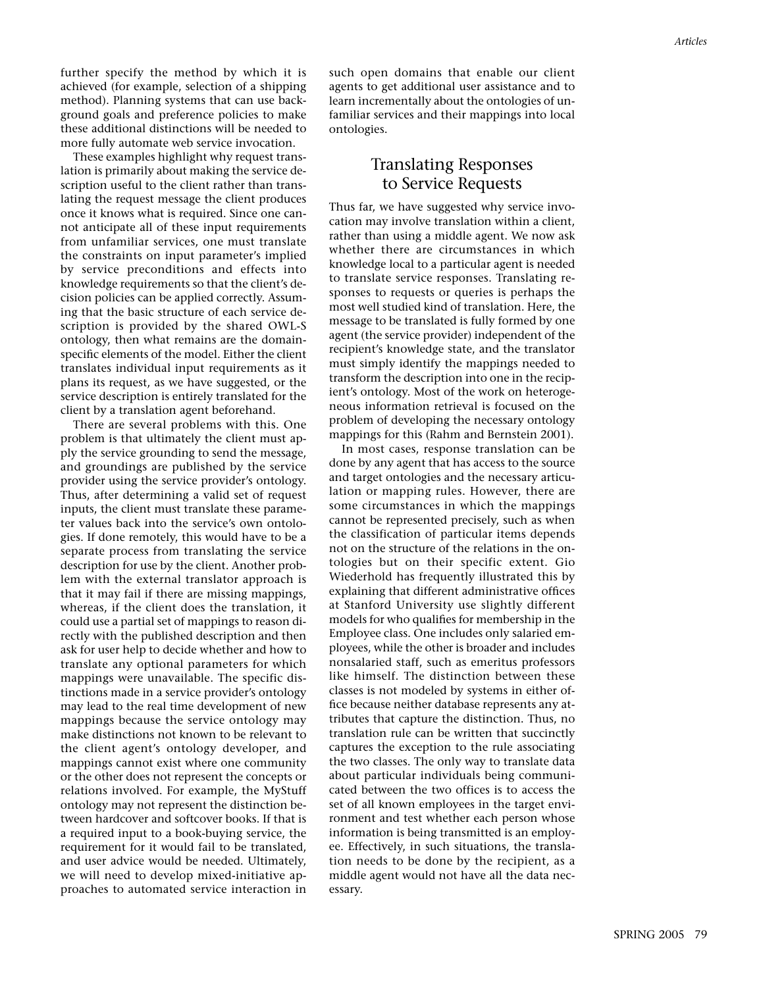further specify the method by which it is achieved (for example, selection of a shipping method). Planning systems that can use background goals and preference policies to make these additional distinctions will be needed to more fully automate web service invocation.

These examples highlight why request translation is primarily about making the service description useful to the client rather than translating the request message the client produces once it knows what is required. Since one cannot anticipate all of these input requirements from unfamiliar services, one must translate the constraints on input parameter's implied by service preconditions and effects into knowledge requirements so that the client's decision policies can be applied correctly. Assuming that the basic structure of each service description is provided by the shared OWL-S ontology, then what remains are the domainspecific elements of the model. Either the client translates individual input requirements as it plans its request, as we have suggested, or the service description is entirely translated for the client by a translation agent beforehand.

There are several problems with this. One problem is that ultimately the client must apply the service grounding to send the message, and groundings are published by the service provider using the service provider's ontology. Thus, after determining a valid set of request inputs, the client must translate these parameter values back into the service's own ontologies. If done remotely, this would have to be a separate process from translating the service description for use by the client. Another problem with the external translator approach is that it may fail if there are missing mappings, whereas, if the client does the translation, it could use a partial set of mappings to reason directly with the published description and then ask for user help to decide whether and how to translate any optional parameters for which mappings were unavailable. The specific distinctions made in a service provider's ontology may lead to the real time development of new mappings because the service ontology may make distinctions not known to be relevant to the client agent's ontology developer, and mappings cannot exist where one community or the other does not represent the concepts or relations involved. For example, the MyStuff ontology may not represent the distinction between hardcover and softcover books. If that is a required input to a book-buying service, the requirement for it would fail to be translated, and user advice would be needed. Ultimately, we will need to develop mixed-initiative approaches to automated service interaction in

such open domains that enable our client agents to get additional user assistance and to learn incrementally about the ontologies of unfamiliar services and their mappings into local ontologies.

#### Translating Responses to Service Requests

Thus far, we have suggested why service invocation may involve translation within a client, rather than using a middle agent. We now ask whether there are circumstances in which knowledge local to a particular agent is needed to translate service responses. Translating responses to requests or queries is perhaps the most well studied kind of translation. Here, the message to be translated is fully formed by one agent (the service provider) independent of the recipient's knowledge state, and the translator must simply identify the mappings needed to transform the description into one in the recipient's ontology. Most of the work on heterogeneous information retrieval is focused on the problem of developing the necessary ontology mappings for this (Rahm and Bernstein 2001).

In most cases, response translation can be done by any agent that has access to the source and target ontologies and the necessary articulation or mapping rules. However, there are some circumstances in which the mappings cannot be represented precisely, such as when the classification of particular items depends not on the structure of the relations in the ontologies but on their specific extent. Gio Wiederhold has frequently illustrated this by explaining that different administrative offices at Stanford University use slightly different models for who qualifies for membership in the Employee class*.* One includes only salaried employees, while the other is broader and includes nonsalaried staff, such as emeritus professors like himself. The distinction between these classes is not modeled by systems in either office because neither database represents any attributes that capture the distinction. Thus, no translation rule can be written that succinctly captures the exception to the rule associating the two classes. The only way to translate data about particular individuals being communicated between the two offices is to access the set of all known employees in the target environment and test whether each person whose information is being transmitted is an employee. Effectively, in such situations, the translation needs to be done by the recipient, as a middle agent would not have all the data necessary.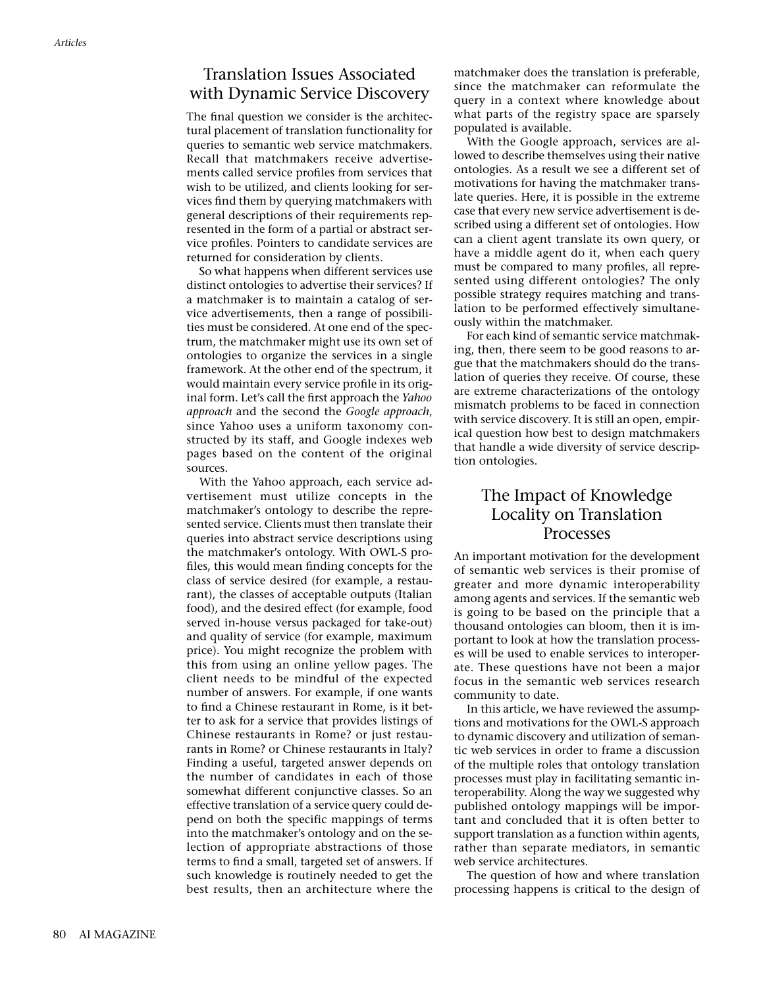## Translation Issues Associated with Dynamic Service Discovery

The final question we consider is the architectural placement of translation functionality for queries to semantic web service matchmakers. Recall that matchmakers receive advertisements called service profiles from services that wish to be utilized, and clients looking for services find them by querying matchmakers with general descriptions of their requirements represented in the form of a partial or abstract service profiles. Pointers to candidate services are returned for consideration by clients.

So what happens when different services use distinct ontologies to advertise their services? If a matchmaker is to maintain a catalog of service advertisements, then a range of possibilities must be considered. At one end of the spectrum, the matchmaker might use its own set of ontologies to organize the services in a single framework. At the other end of the spectrum, it would maintain every service profile in its original form. Let's call the first approach the *Yahoo approach* and the second the *Google approach*, since Yahoo uses a uniform taxonomy constructed by its staff, and Google indexes web pages based on the content of the original sources.

With the Yahoo approach, each service advertisement must utilize concepts in the matchmaker's ontology to describe the represented service. Clients must then translate their queries into abstract service descriptions using the matchmaker's ontology. With OWL-S profiles, this would mean finding concepts for the class of service desired (for example, a restaurant), the classes of acceptable outputs (Italian food), and the desired effect (for example, food served in-house versus packaged for take-out) and quality of service (for example, maximum price). You might recognize the problem with this from using an online yellow pages. The client needs to be mindful of the expected number of answers. For example, if one wants to find a Chinese restaurant in Rome, is it better to ask for a service that provides listings of Chinese restaurants in Rome? or just restaurants in Rome? or Chinese restaurants in Italy? Finding a useful, targeted answer depends on the number of candidates in each of those somewhat different conjunctive classes. So an effective translation of a service query could depend on both the specific mappings of terms into the matchmaker's ontology and on the selection of appropriate abstractions of those terms to find a small, targeted set of answers. If such knowledge is routinely needed to get the best results, then an architecture where the

matchmaker does the translation is preferable, since the matchmaker can reformulate the query in a context where knowledge about what parts of the registry space are sparsely populated is available.

With the Google approach, services are allowed to describe themselves using their native ontologies. As a result we see a different set of motivations for having the matchmaker translate queries. Here, it is possible in the extreme case that every new service advertisement is described using a different set of ontologies. How can a client agent translate its own query, or have a middle agent do it, when each query must be compared to many profiles, all represented using different ontologies? The only possible strategy requires matching and translation to be performed effectively simultaneously within the matchmaker.

For each kind of semantic service matchmaking, then, there seem to be good reasons to argue that the matchmakers should do the translation of queries they receive. Of course, these are extreme characterizations of the ontology mismatch problems to be faced in connection with service discovery. It is still an open, empirical question how best to design matchmakers that handle a wide diversity of service description ontologies.

## The Impact of Knowledge Locality on Translation Processes

An important motivation for the development of semantic web services is their promise of greater and more dynamic interoperability among agents and services. If the semantic web is going to be based on the principle that a thousand ontologies can bloom, then it is important to look at how the translation processes will be used to enable services to interoperate. These questions have not been a major focus in the semantic web services research community to date.

In this article, we have reviewed the assumptions and motivations for the OWL-S approach to dynamic discovery and utilization of semantic web services in order to frame a discussion of the multiple roles that ontology translation processes must play in facilitating semantic interoperability. Along the way we suggested why published ontology mappings will be important and concluded that it is often better to support translation as a function within agents, rather than separate mediators, in semantic web service architectures.

The question of how and where translation processing happens is critical to the design of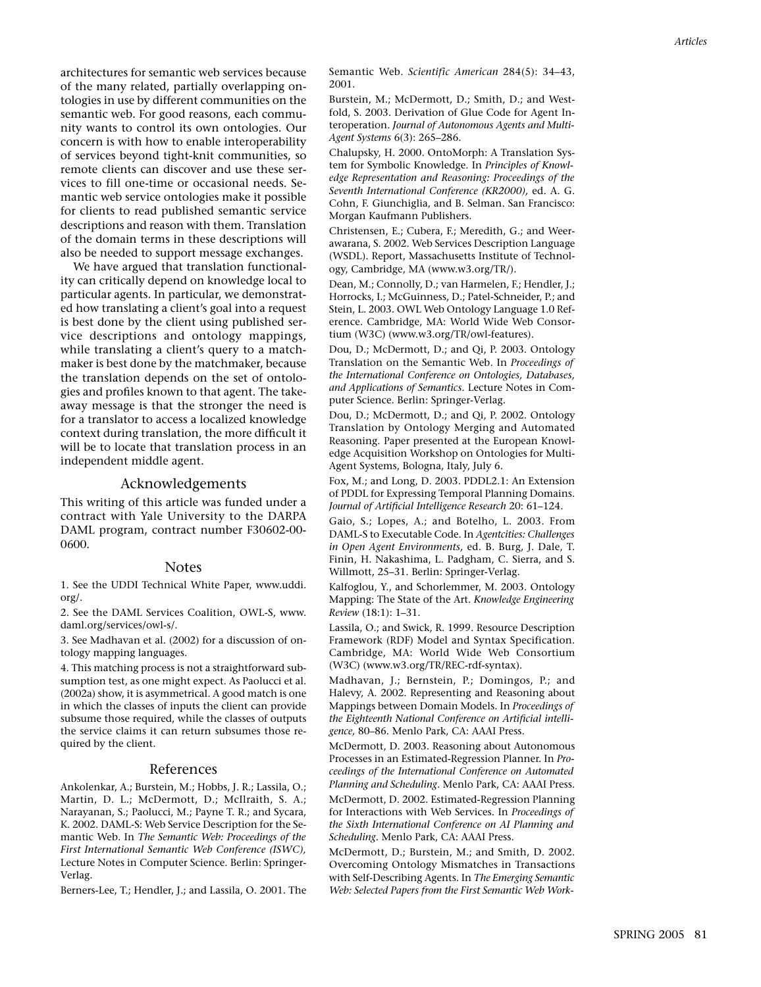architectures for semantic web services because of the many related, partially overlapping ontologies in use by different communities on the semantic web. For good reasons, each community wants to control its own ontologies. Our concern is with how to enable interoperability of services beyond tight-knit communities, so remote clients can discover and use these services to fill one-time or occasional needs. Semantic web service ontologies make it possible for clients to read published semantic service descriptions and reason with them. Translation of the domain terms in these descriptions will also be needed to support message exchanges.

We have argued that translation functionality can critically depend on knowledge local to particular agents. In particular, we demonstrated how translating a client's goal into a request is best done by the client using published service descriptions and ontology mappings, while translating a client's query to a matchmaker is best done by the matchmaker, because the translation depends on the set of ontologies and profiles known to that agent. The takeaway message is that the stronger the need is for a translator to access a localized knowledge context during translation, the more difficult it will be to locate that translation process in an independent middle agent.

#### Acknowledgements

This writing of this article was funded under a contract with Yale University to the DARPA DAML program, contract number F30602-00- 0600.

#### Notes

1. See the UDDI Technical White Paper, www.uddi. org/.

2. See the DAML Services Coalition, OWL-S, www. daml.org/services/owl-s/.

3. See Madhavan et al. (2002) for a discussion of ontology mapping languages.

4. This matching process is not a straightforward subsumption test, as one might expect. As Paolucci et al. (2002a) show, it is asymmetrical. A good match is one in which the classes of inputs the client can provide subsume those required, while the classes of outputs the service claims it can return subsumes those required by the client.

#### References

Ankolenkar, A.; Burstein, M.; Hobbs, J. R.; Lassila, O.; Martin, D. L.; McDermott, D.; McIlraith, S. A.; Narayanan, S.; Paolucci, M.; Payne T. R.; and Sycara, K. 2002. DAML-S: Web Service Description for the Semantic Web. In *The Semantic Web: Proceedings of the First International Semantic Web Conference (ISWC),* Lecture Notes in Computer Science. Berlin: Springer-Verlag.

Berners-Lee, T.; Hendler, J.; and Lassila, O. 2001. The

Semantic Web. *Scientific American* 284(5): 34–43, 2001.

Burstein, M.; McDermott, D.; Smith, D.; and Westfold, S. 2003. Derivation of Glue Code for Agent Interoperation. *Journal of Autonomous Agents and Multi-Agent Systems* 6(3): 265–286.

Chalupsky, H. 2000. OntoMorph: A Translation System for Symbolic Knowledge. In *Principles of Knowledge Representation and Reasoning: Proceedings of the Seventh International Conference (KR2000),* ed. A. G. Cohn, F. Giunchiglia, and B. Selman. San Francisco: Morgan Kaufmann Publishers.

Christensen, E.; Cubera, F.; Meredith, G.; and Weerawarana, S. 2002. Web Services Description Language (WSDL). Report, Massachusetts Institute of Technology, Cambridge, MA (www.w3.org/TR/).

Dean, M.; Connolly, D.; van Harmelen, F.; Hendler, J.; Horrocks, I.; McGuinness, D.; Patel-Schneider, P.; and Stein, L. 2003. OWL Web Ontology Language 1.0 Reference. Cambridge, MA: World Wide Web Consortium (W3C) (www.w3.org/TR/owl-features).

Dou, D.; McDermott, D.; and Qi, P. 2003. Ontology Translation on the Semantic Web. In *Proceedings of the International Conference on Ontologies, Databases, and Applications of Semantics.* Lecture Notes in Computer Science. Berlin: Springer-Verlag.

Dou, D.; McDermott, D.; and Qi, P. 2002. Ontology Translation by Ontology Merging and Automated Reasoning. Paper presented at the European Knowledge Acquisition Workshop on Ontologies for Multi-Agent Systems, Bologna, Italy, July 6.

Fox, M.; and Long, D. 2003. PDDL2.1: An Extension of PDDL for Expressing Temporal Planning Domains. *Journal of Artificial Intelligence Research* 20: 61–124.

Gaio, S.; Lopes, A.; and Botelho, L. 2003. From DAML-S to Executable Code. In *Agentcities: Challenges in Open Agent Environments,* ed. B. Burg, J. Dale, T. Finin, H. Nakashima, L. Padgham, C. Sierra, and S. Willmott, 25–31. Berlin: Springer-Verlag.

Kalfoglou, Y., and Schorlemmer, M. 2003. Ontology Mapping: The State of the Art. *Knowledge Engineering Review* (18:1): 1–31.

Lassila, O.; and Swick, R. 1999. Resource Description Framework (RDF) Model and Syntax Specification. Cambridge, MA: World Wide Web Consortium (W3C) (www.w3.org/TR/REC-rdf-syntax).

Madhavan, J.; Bernstein, P.; Domingos, P.; and Halevy, A. 2002. Representing and Reasoning about Mappings between Domain Models. In *Proceedings of the Eighteenth National Conference on Artificial intelligence,* 80–86. Menlo Park, CA: AAAI Press.

McDermott, D. 2003. Reasoning about Autonomous Processes in an Estimated-Regression Planner. In *Proceedings of the International Conference on Automated Planning and Scheduling*. Menlo Park, CA: AAAI Press. McDermott, D. 2002. Estimated-Regression Planning

for Interactions with Web Services. In *Proceedings of the Sixth International Conference on AI Planning and Scheduling.* Menlo Park, CA: AAAI Press.

McDermott, D.; Burstein, M.; and Smith, D. 2002. Overcoming Ontology Mismatches in Transactions with Self-Describing Agents. In *The Emerging Semantic Web: Selected Papers from the First Semantic Web Work-*